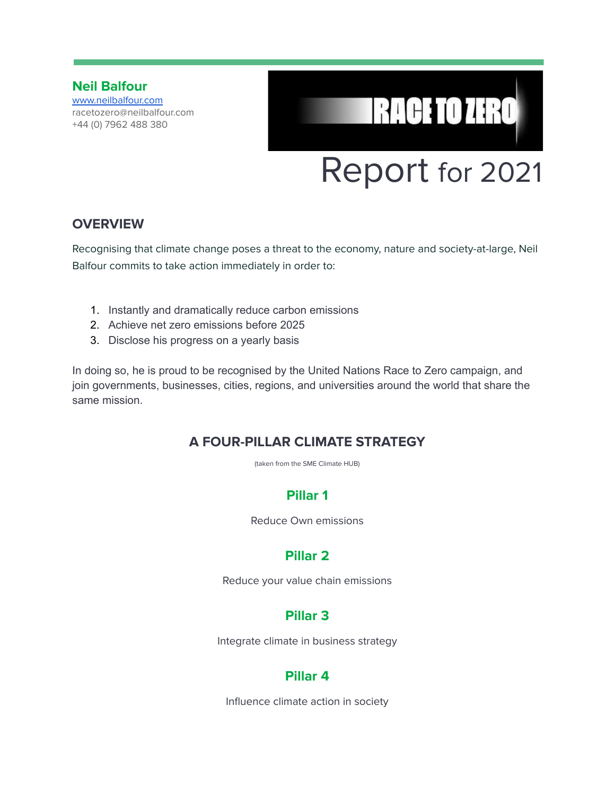**Neil Balfour** [www.neilbalfour.com](http://www.neilbalfour.com) racetozero@neilbalfour.com +44 (0) 7962 488 380

# Report for 2021

**IRACE TO ZERO** 

#### **OVERVIEW**

Recognising that climate change poses a threat to the economy, nature and society-at-large, Neil Balfour commits to take action immediately in order to:

- 1. Instantly and dramatically reduce carbon emissions
- 2. Achieve net zero emissions before 2025
- 3. Disclose his progress on a yearly basis

In doing so, he is proud to be recognised by the United Nations Race to Zero campaign, and join governments, businesses, cities, regions, and universities around the world that share the same mission.

#### **A FOUR-PILLAR CLIMATE STRATEGY**

(taken from the SME Climate HUB)

## **Pillar 1**

Reduce Own emissions

## **Pillar 2**

Reduce your value chain emissions

## **Pillar 3**

Integrate climate in business strategy

#### **Pillar 4**

Influence climate action in society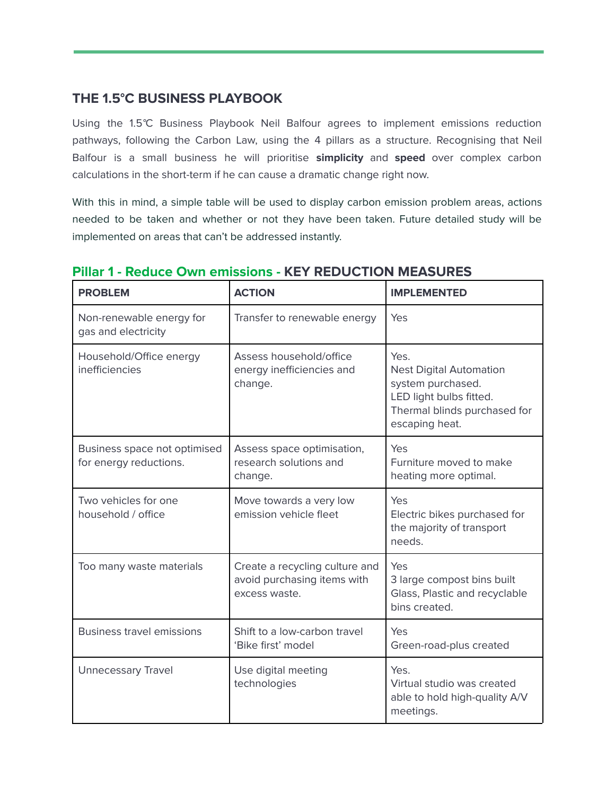## **THE 1.5°C BUSINESS PLAYBOOK**

Using the 1.5°C Business Playbook Neil Balfour agrees to implement emissions reduction pathways, following the Carbon Law, using the 4 pillars as a structure. Recognising that Neil Balfour is a small business he will prioritise **simplicity** and **speed** over complex carbon calculations in the short-term if he can cause a dramatic change right now.

With this in mind, a simple table will be used to display carbon emission problem areas, actions needed to be taken and whether or not they have been taken. Future detailed study will be implemented on areas that can't be addressed instantly.

| <b>PROBLEM</b>                                         | <b>ACTION</b>                                                                  | <b>IMPLEMENTED</b>                                                                                                                       |
|--------------------------------------------------------|--------------------------------------------------------------------------------|------------------------------------------------------------------------------------------------------------------------------------------|
| Non-renewable energy for<br>gas and electricity        | Transfer to renewable energy                                                   | Yes                                                                                                                                      |
| Household/Office energy<br>inefficiencies              | Assess household/office<br>energy inefficiencies and<br>change.                | Yes.<br><b>Nest Digital Automation</b><br>system purchased.<br>LED light bulbs fitted.<br>Thermal blinds purchased for<br>escaping heat. |
| Business space not optimised<br>for energy reductions. | Assess space optimisation,<br>research solutions and<br>change.                | Yes<br>Furniture moved to make<br>heating more optimal.                                                                                  |
| Two vehicles for one<br>household / office             | Move towards a very low<br>emission vehicle fleet                              | Yes<br>Electric bikes purchased for<br>the majority of transport<br>needs.                                                               |
| Too many waste materials                               | Create a recycling culture and<br>avoid purchasing items with<br>excess waste. | Yes<br>3 large compost bins built<br>Glass, Plastic and recyclable<br>bins created.                                                      |
| <b>Business travel emissions</b>                       | Shift to a low-carbon travel<br>'Bike first' model                             | Yes<br>Green-road-plus created                                                                                                           |
| <b>Unnecessary Travel</b>                              | Use digital meeting<br>technologies                                            | Yes.<br>Virtual studio was created<br>able to hold high-quality A/V<br>meetings.                                                         |

#### **Pillar 1 - Reduce Own emissions - KEY REDUCTION MEASURES**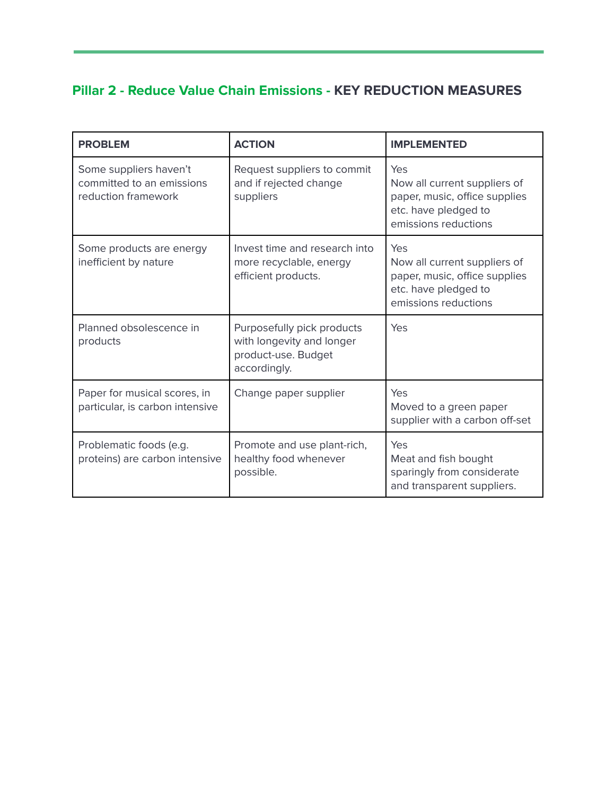## **Pillar 2 - Reduce Value Chain Emissions - KEY REDUCTION MEASURES**

| <b>PROBLEM</b>                                                             | <b>ACTION</b>                                                                                  | <b>IMPLEMENTED</b>                                                                                                   |
|----------------------------------------------------------------------------|------------------------------------------------------------------------------------------------|----------------------------------------------------------------------------------------------------------------------|
| Some suppliers haven't<br>committed to an emissions<br>reduction framework | Request suppliers to commit<br>and if rejected change<br>suppliers                             | Yes<br>Now all current suppliers of<br>paper, music, office supplies<br>etc. have pledged to<br>emissions reductions |
| Some products are energy<br>inefficient by nature                          | Invest time and research into<br>more recyclable, energy<br>efficient products.                | Yes<br>Now all current suppliers of<br>paper, music, office supplies<br>etc. have pledged to<br>emissions reductions |
| Planned obsolescence in<br>products                                        | Purposefully pick products<br>with longevity and longer<br>product-use. Budget<br>accordingly. | Yes                                                                                                                  |
| Paper for musical scores, in<br>particular, is carbon intensive            | Change paper supplier                                                                          | Yes<br>Moved to a green paper<br>supplier with a carbon off-set                                                      |
| Problematic foods (e.g.<br>proteins) are carbon intensive                  | Promote and use plant-rich,<br>healthy food whenever<br>possible.                              | Yes<br>Meat and fish bought<br>sparingly from considerate<br>and transparent suppliers.                              |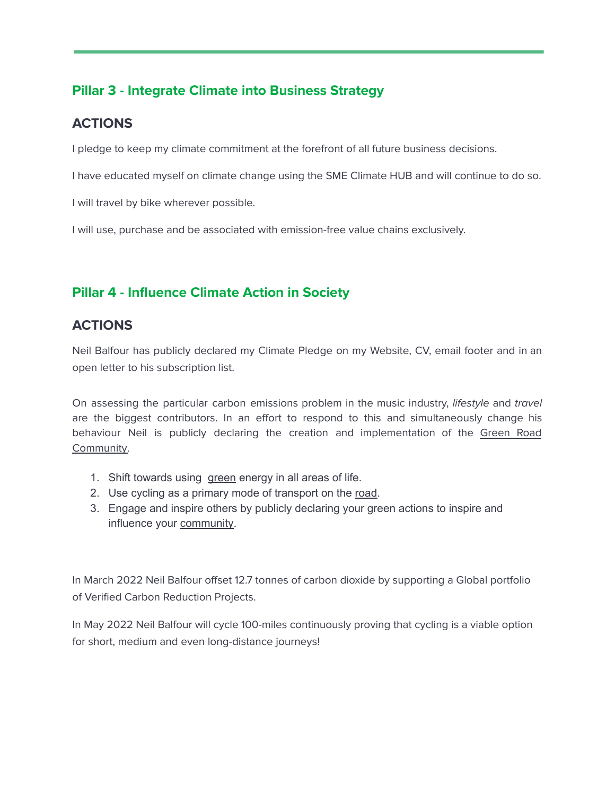## **Pillar 3 - Integrate Climate into Business Strategy**

## **ACTIONS**

I pledge to keep my climate commitment at the forefront of all future business decisions.

I have educated myself on climate change using the SME Climate HUB and will continue to do so.

I will travel by bike wherever possible.

I will use, purchase and be associated with emission-free value chains exclusively.

## **Pillar 4 - Influence Climate Action in Society**

#### **ACTIONS**

Neil Balfour has publicly declared my Climate Pledge on my Website, CV, email footer and in an open letter to his subscription list.

On assessing the particular carbon emissions problem in the music industry, lifestyle and travel are the biggest contributors. In an effort to respond to this and simultaneously change his behaviour Neil is publicly declaring the creation and implementation of the Green Road Community.

- 1. Shift towards using green energy in all areas of life.
- 2. Use cycling as a primary mode of transport on the road.
- 3. Engage and inspire others by publicly declaring your green actions to inspire and influence your community.

In March 2022 Neil Balfour offset 12.7 tonnes of carbon dioxide by supporting a Global portfolio of Verified Carbon Reduction Projects.

In May 2022 Neil Balfour will cycle 100-miles continuously proving that cycling is a viable option for short, medium and even long-distance journeys!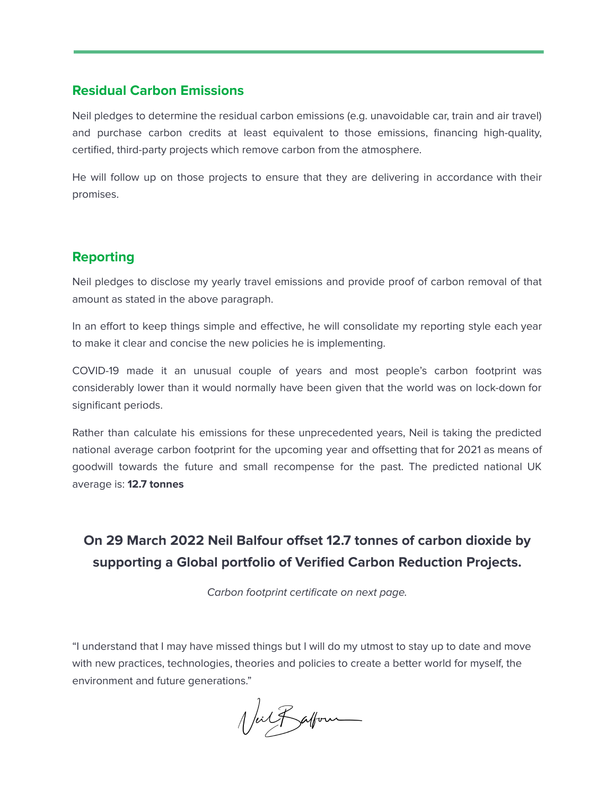#### **Residual Carbon Emissions**

Neil pledges to determine the residual carbon emissions (e.g. unavoidable car, train and air travel) and purchase carbon credits at least equivalent to those emissions, financing high-quality, certified, third-party projects which remove carbon from the atmosphere.

He will follow up on those projects to ensure that they are delivering in accordance with their promises.

#### **Reporting**

Neil pledges to disclose my yearly travel emissions and provide proof of carbon removal of that amount as stated in the above paragraph.

In an effort to keep things simple and effective, he will consolidate my reporting style each year to make it clear and concise the new policies he is implementing.

COVID-19 made it an unusual couple of years and most people's carbon footprint was considerably lower than it would normally have been given that the world was on lock-down for significant periods.

Rather than calculate his emissions for these unprecedented years, Neil is taking the predicted national average carbon footprint for the upcoming year and offsetting that for 2021 as means of goodwill towards the future and small recompense for the past. The predicted national UK average is: **12.7 tonnes**

## **On 29 March 2022 Neil Balfour offset 12.7 tonnes of carbon dioxide by supporting a Global portfolio of Verified Carbon Reduction Projects.**

Carbon footprint certificate on next page.

"I understand that I may have missed things but I will do my utmost to stay up to date and move with new practices, technologies, theories and policies to create a better world for myself, the environment and future generations."

Valfatform